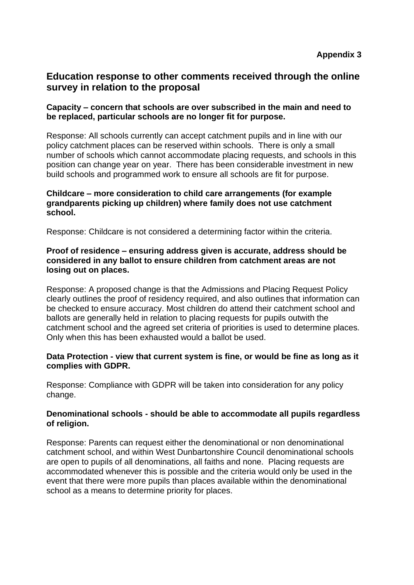# **Education response to other comments received through the online survey in relation to the proposal**

# **Capacity – concern that schools are over subscribed in the main and need to be replaced, particular schools are no longer fit for purpose.**

Response: All schools currently can accept catchment pupils and in line with our policy catchment places can be reserved within schools. There is only a small number of schools which cannot accommodate placing requests, and schools in this position can change year on year. There has been considerable investment in new build schools and programmed work to ensure all schools are fit for purpose.

## **Childcare – more consideration to child care arrangements (for example grandparents picking up children) where family does not use catchment school.**

Response: Childcare is not considered a determining factor within the criteria.

# **Proof of residence – ensuring address given is accurate, address should be considered in any ballot to ensure children from catchment areas are not losing out on places.**

Response: A proposed change is that the Admissions and Placing Request Policy clearly outlines the proof of residency required, and also outlines that information can be checked to ensure accuracy. Most children do attend their catchment school and ballots are generally held in relation to placing requests for pupils outwith the catchment school and the agreed set criteria of priorities is used to determine places. Only when this has been exhausted would a ballot be used.

## **Data Protection - view that current system is fine, or would be fine as long as it complies with GDPR.**

Response: Compliance with GDPR will be taken into consideration for any policy change.

## **Denominational schools - should be able to accommodate all pupils regardless of religion.**

Response: Parents can request either the denominational or non denominational catchment school, and within West Dunbartonshire Council denominational schools are open to pupils of all denominations, all faiths and none. Placing requests are accommodated whenever this is possible and the criteria would only be used in the event that there were more pupils than places available within the denominational school as a means to determine priority for places.